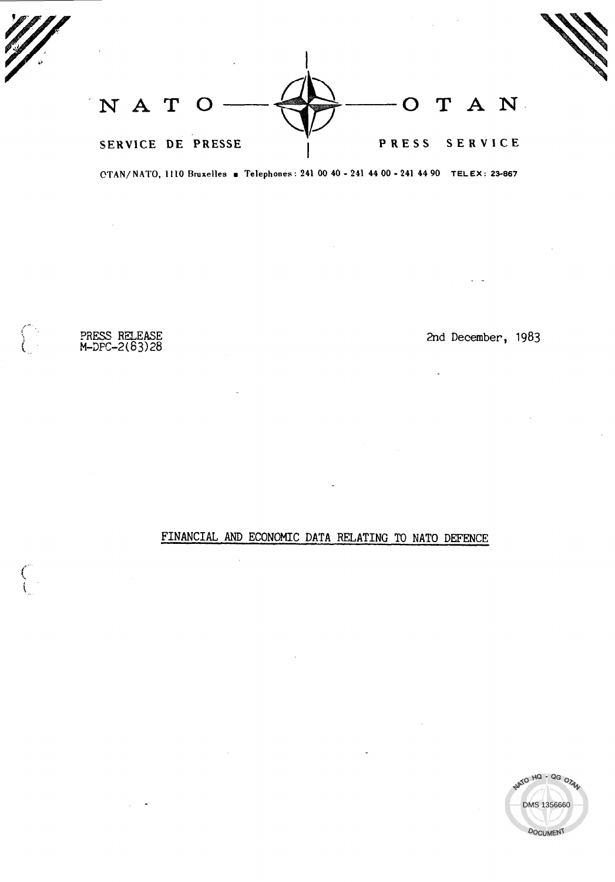| NATO |                   | O T A N       |  |
|------|-------------------|---------------|--|
|      | SERVICE DE PRESSE | PRESS SERVICE |  |

OTAN/ NATO, 1110 Bruxelles a Telephones: 241 00 40 - 241 44 00 - 241 44 90 TELEX: 23-867

 $\mathcal{L}_{\mathcal{A}}$ 

PRESS RELEASE 2nd December, 1983<br>M-DPC-2(63)28

 $\bar{z}$ 

 $\curvearrowleft$  $\zeta_{\rm L}$  .

 $\bigcap_{i=1}^n$ 

FINANCIAL AND ECONOMIC DATA RELATING TO NATO DEFENCE

 $\mathcal{L}$ 

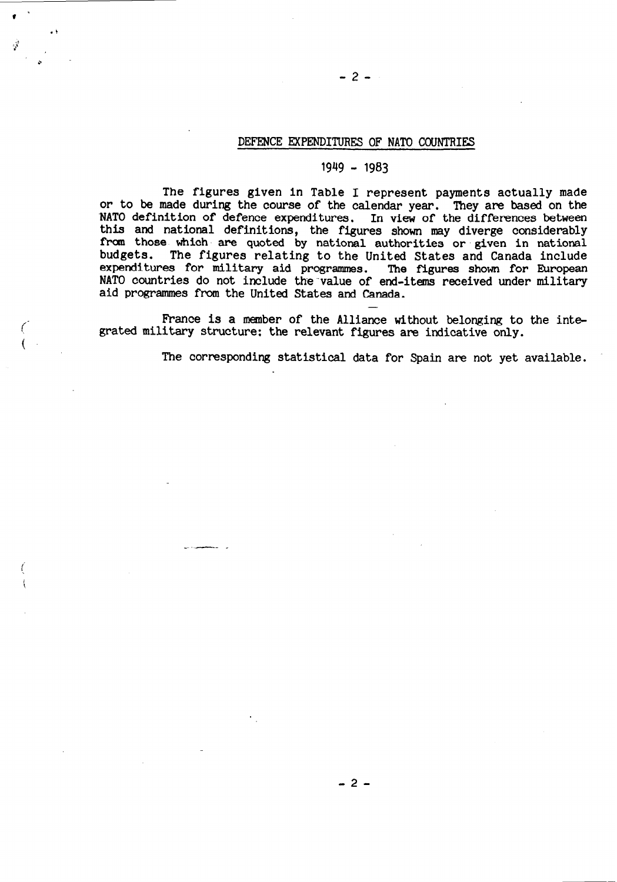# DEFENCE EXPENDITURES OF NATO COUNTRIES

-2-

# 1949 - 1983

The figures given in Table I represent payments actually made or to be made during the course of the calendar year. They are based on the NATO definition of defence expenditures. In view of the differences between this and national definitions, the figures shown may diverge considerably from those which are quoted by national authorities or given in national budgets. The figures relating to the United States and Canada include The figures relating to the United States and Canada include expenditures for military aid programmes. The figures shown for European NATO countries do not include the value of end-items received under military aid programmes from the United States and Canada. -

France is a member of the Alliance without belonging to the integrated military structure: the relevant figures are indicative only.

-. -- \_

The corresponding statistical data for Spain are not yet available.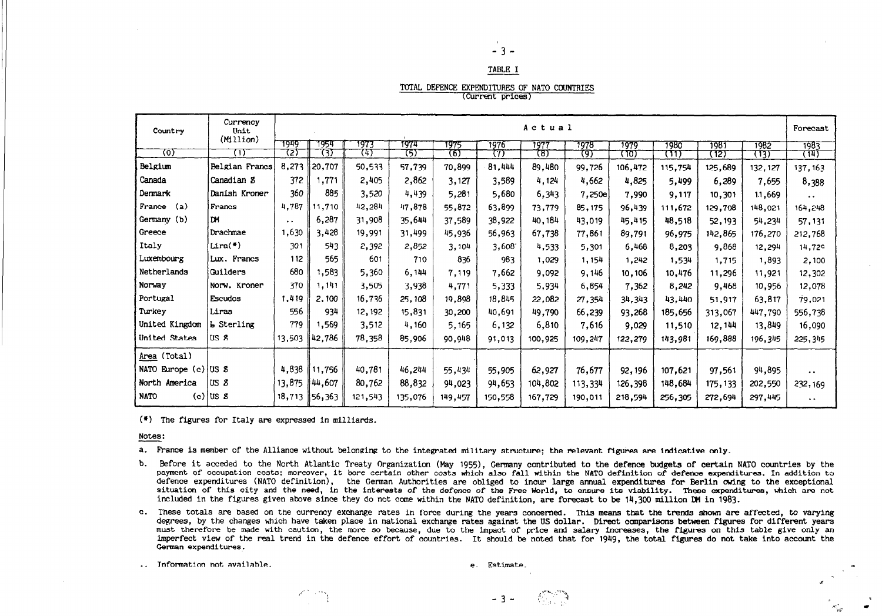# -3-

#### TABLE I

TOTAL DEFENCE EXPENDITURES OF NATO COUNTRIES

(Current prices)

| Country              | Currency<br>Unit       |                     | Actual |         |         |         |         |         |         |         |         | Forecast |          |                      |
|----------------------|------------------------|---------------------|--------|---------|---------|---------|---------|---------|---------|---------|---------|----------|----------|----------------------|
|                      | (Million)              | 7949                | 1954   | 1973    | 1974    | 1975    | 1976    | 1977    | 1978    | 1979    | 1980    | 1981     | 1982     | 1983                 |
| ত্য                  | π                      | 72)                 | (3)    | 74)     | 75)     | চ্যে    | 77)     | (8)     | 97      | (10)    | ᡴ᠋      | (12      | (13)     | (14)                 |
| Belgium              | Belgian Francs         | 8,273               | 20.707 | 50,533  | 57,739  | 70,899  | 81,444  | 89,480  | 99,726  | 106,472 | 115,754 | 125,689  | 132, 127 | 137, 163             |
| Canada               | Canadian 8             | 372                 | 1,771  | 2,405   | 2,862   | 3,127   | 3,589   | 4,124   | 4,662   | 4,825   | 5,499   | 6,289    | 7,655    | 8,388                |
| Dermark              | Danish Kroner          | 360                 | 885    | 3,520   | 4,439   | 5,281   | 5,680   | 6,343   | 7,250e  | 7,990   | 9,117   | 10,301   | 11,669   | $\ddot{\phantom{0}}$ |
| France<br>(a)        | Francs                 | 4,787               | 11,710 | 42,284  | 47,878  | 55,872  | 63,899  | 73,779  | 85, 175 | 96,439  | 111,672 | 129,708  | 148,021  | 164,248              |
| Germany (b)          | ١œ                     | $\bullet$ $\bullet$ | 6,287  | 31,908  | 35,644  | 37,589  | 38,922  | 40,184  | 43.019  | 45,415  | 48,518  | 52, 193  | 54,234   | 57,131               |
| Greece               | Drachmae               | 1,630               | 3,428  | 19,991  | 31,499  | 45,936  | 56,963  | 67,738  | 77,861  | 89,791  | 96,975  | 142,865  | 176,270  | 212,768              |
| Italy                | $Lira(*)$              | 301                 | 543    | 2,392   | 2,852   | 3,104   | 3,608   | 4,533   | 5,301   | 6,468   | 8,203   | 9,868    | 12,294   | 14,729               |
| Luxembourg           | Lux. Francs            | 112                 | 565    | 601     | 710     | 836     | 983     | 1,029   | 1,154   | 1,242   | 1,534   | 1,715    | 1,893    | 2,100                |
| Netherlands          | Guilders               | 680                 | 1,583  | 5,360   | 6,144   | 7,119   | 7,662   | 9,092   | 9,146   | 10,106  | 10,476  | 11,296   | 11,921   | 12,302               |
| Norway               | Norw. Kroner           | 370                 | 1,141  | 3,505   | 3,938   | 4,771   | 5,333   | 5,934   | 6,854   | 7,362   | 8,242   | 9,468    | 10,956   | 12,078               |
| Portugal             | Escudos                | 1,419               | 2,100  | 16,736  | 25,108  | 19,898  | 18,845  | 22,082  | 27,354  | 34,343  | 43,440  | 51,917   | 63,817   | 79,021               |
| Turkey               | Liras                  | 556                 | 934    | 12, 192 | 15,831  | 30,200  | 40,691  | 49,790  | 66,239  | 93,268  | 185,656 | 313,067  | 447,790  | 556,738              |
| United Kingdom       | <b>L</b> Sterling      | 779                 | ,569   | 3,512   | 4,160   | 5,165   | 6,132   | 6,810   | 7,616   | 9,029   | 11,510  | 12,144   | 13,849   | 16,090               |
| United States        | USS                    | 13,503              | 42,786 | 78,358  | 85,906  | 90,948  | 91,013  | 100,925 | 109,247 | 122,279 | 143,981 | 169,888  | 196,345  | 225,345              |
| Area (Total)         |                        |                     |        |         |         |         |         |         |         |         |         |          |          |                      |
| NATO Europe (c) US 8 |                        | 4,838               | 11,756 | 40,781  | 46,244  | 55,434  | 55,905  | 62,927  | 76,677  | 92, 196 | 107,621 | 97,561   | 94,895   | $\ddot{\phantom{1}}$ |
| North America        | USZ                    | 13,875              | 44,607 | 80,762  | 88,832  | 94,023  | 94,653  | 104,802 | 113,334 | 126,398 | 148,684 | 175, 133 | 202,550  | 232,169              |
| <b>NATO</b>          | $(c)$ US $\mathcal{S}$ | 18,713              | 56,363 | 121,543 | 135,076 | 149,457 | 150,558 | 167,729 | 190,011 | 218,594 | 256,305 | 272,694  | 297,445  | $\ddot{\phantom{0}}$ |

(\*) The figures for Italy are expressed in milliards.

I,\*'- "'!

Notes:

a. France is member of the Alliance without belonging to the integrated military structure; the relevant figures are indicative only.

b. Before it acceded to the North Atlantic Treaty Organization (May 1955), Germany contributed to the defence budgets of certain NATO countries by the payment of occupation costs; moreover, it bore certain other costs which also fall within the NATO definition of defence expenditures. In addition to defence expenditures (NATO definition), the German Authorities are oblig situation of this city and the need, in the interests of the defence of the Free World, to ensure its viability. These expenditures, which are not included in the figures given above since they do not come within the NATO definition, are forecast to be 14,300 million DM in 1983.

c. These totals are based on the currency exchange rates in force during the years concerned. This means that the trends shown are affected, to varying degrees, by the changes which have taken place in national exchange rates against the US dollar. Direct comparisons between figures for different years must therefore be made with caution, the more so because, due to the impact of price and salary increases, the figures on this table give only an Intervel of the real trend in the defence effort of countries. It should be noted that for 1949, the total figures on this table give only an

 $\Gamma$  . The formulation not available.  $\Gamma$ 

 $-3 - 673$ 

: :, a-- rrotate and a-- respectively. The contract of the contract of the contract of the contract of the contract of the contract of the contract of the contract of the contract of the contract of the contract of the con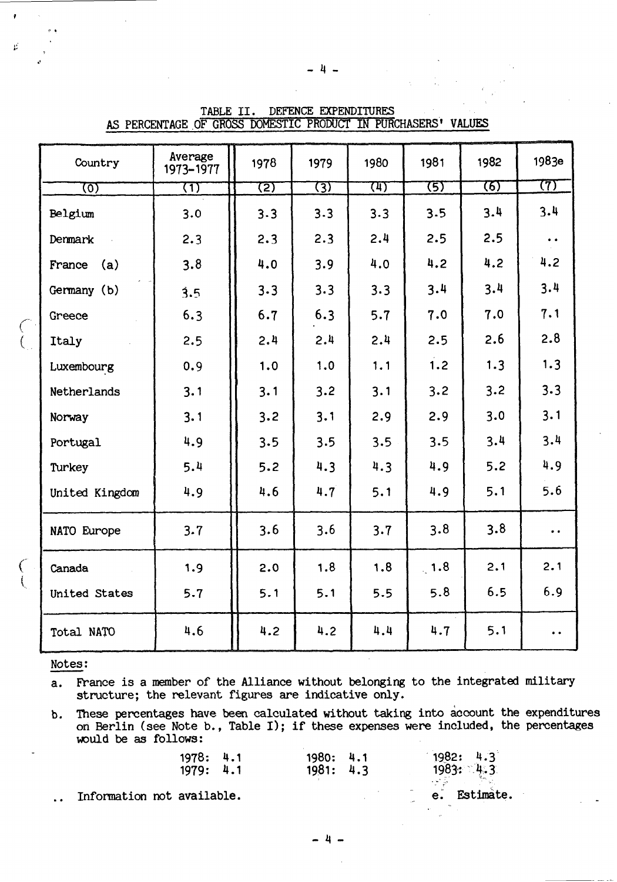| Country        | Average<br>1973-1977 | 1978 | 1979 | 1980 | 1981           | 1982 | 1983e               |
|----------------|----------------------|------|------|------|----------------|------|---------------------|
| তে             | ্যে                  | 72)  | হ্যে | प्पा | 75)            | 76)  | 77)                 |
| Belgium        | 3.0                  | 3.3  | 3.3  | 3.3  | 3.5            | 3.4  | 3.4                 |
| Denmark        | 2.3                  | 2.3  | 2.3  | 2.4  | 2.5            | 2.5  | $\bullet$ $\bullet$ |
| (a)<br>France  | 3.8                  | 4.0  | 3.9  | 4.0  | 4.2            | 4.2  | 4.2                 |
| Germany (b)    | 3.5                  | 3.3  | 3.3  | 3.3  | 3.4            | 3.4  | 3.4                 |
| Greece         | 6.3                  | 6.7  | 6.3  | 5.7  | 7.0            | 7.0  | 7.1                 |
| Italy          | 2.5                  | 2.4  | 2.4  | 2.4  | 2.5            | 2.6  | 2.8                 |
| Luxembourg     | 0.9                  | 1.0  | 1.0  | 1.1  | 1.2            | 1.3  | 1.3                 |
| Netherlands    | 3.1                  | 3.1  | 3.2  | 3.1  | 3.2            | 3.2  | 3.3                 |
| Norway         | 3.1                  | 3.2  | 3.1  | 2.9  | 2.9            | 3.0  | 3.1                 |
| Portugal       | 4.9                  | 3.5  | 3.5  | 3.5  | 3.5            | 3.4  | 3.4                 |
| Turkey         | 5.4                  | 5.2  | 4.3  | 4.3  | 4.9            | 5.2  | 4.9                 |
| United Kingdom | 4.9                  | 4.6  | 4.7  | 5.1  | 4.9            | 5.1  | 5.6                 |
| NATO Europe    | 3.7                  | 3.6  | 3.6  | 3.7  | 3.8            | 3.8  | $\bullet$ $\bullet$ |
| Canada         | 1.9                  | 2.0  | 1.8  | 1.8  | $\ddot{ }$ 1.8 | 2.1  | 2.1                 |
| United States  | 5.7                  | 5.1  | 5.1  | 5.5  | 5.8            | 6.5  | 6.9                 |
| Total NATO     | 4.6                  | 4.2  | 4.2  | 4.4  | 4.7            | 5.1  |                     |

TABLE II. DEFENCE EXPENDITURES AS PERCENTAGE OF GROSS DOMESTIC PRODUCT IN PURCHASERS' VALUES

### Notes:

France is a member of the Alliance without belonging to the integrated military  $a.$ structure; the relevant figures are indicative only.

These percentages have been calculated without taking into account the expenditures b. on Berlin (see Note b., Table I); if these expenses were included, the percentages would be as follows:

| 1978: 4.1<br>1979: 4.1 | 1980: 4.1<br>1981: 4.3 |                    | 1982: 4.3<br>1983: 4.3 |
|------------------------|------------------------|--------------------|------------------------|
| t available.           |                        | $\bullet\,\bullet$ | e. Estimate.           |

Information not available.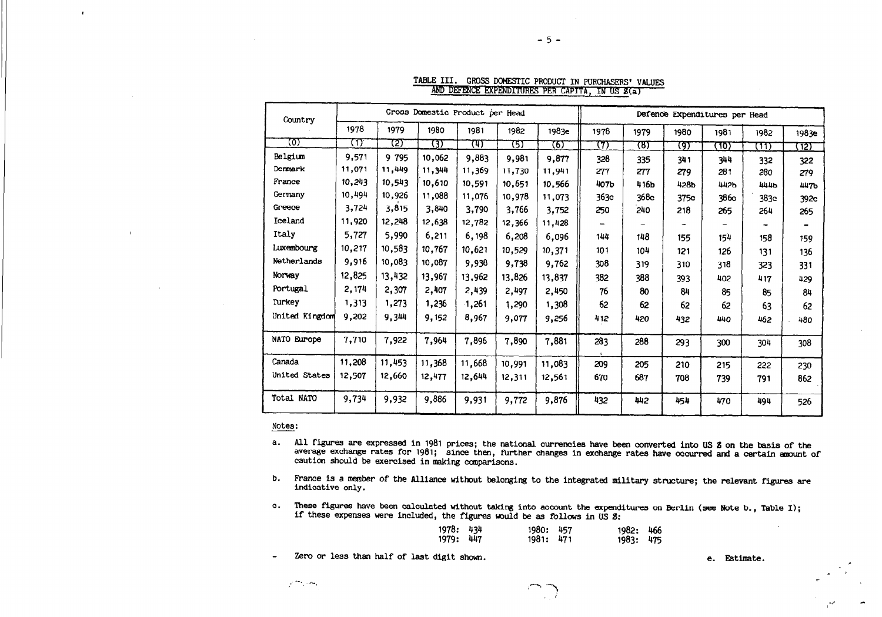| Country        |        |        | Gross Domestic Product per Head | Defence Expenditures per Head |        |        |      |      |      |      |             |       |
|----------------|--------|--------|---------------------------------|-------------------------------|--------|--------|------|------|------|------|-------------|-------|
|                | 1978   | 1979   | 1980                            | 1981                          | 1982   | 1983e  | 1978 | 1979 | 1980 | 1981 | 1982        | 1983e |
| (०)            | m      | গ্ৰে   | छा                              | (म)                           | চ্যে   | (6)    | 77)  | (B)  | (9)  | (10) | (11)        | (12)  |
| Belgium        | 9,571  | 9 795  | 10,062                          | 9,883                         | 9,981  | 9,877  | 328  | 335  | 341  | 344  | 332         | 322   |
| Denmark        | 11,071 | 11,449 | 11,344                          | 11,369                        | 11,730 | 11,941 | 277  | 277  | 279  | 281  | 280         | 279   |
| France         | 10,243 | 10.543 | 10,610                          | 10,591                        | 10.651 | 10.566 | 407b | 416b | 428b | 442b | <b>444b</b> | 447b  |
| Germany        | 10,494 | 10,926 | 11,088                          | 11,076                        | 10,978 | 11,073 | 363c | 368c | 375e | 386c | 383c        | 392c  |
| Greece         | 3,724  | 3,815  | 3,840                           | 3,790                         | 3,766  | 3,752  | 250  | 240  | 218  | 265  | 264         | 265   |
| Iceland        | 11,920 | 12,248 | 12,638                          | 12,782                        | 12,366 | 11,428 |      |      |      |      |             |       |
| Italy          | 5,727  | 5,990  | 6,211                           | 6,198                         | 6,208  | 6,096  | 144  | 148  | 155  | 154  | 158         | 159   |
| Luxembourg     | 10,217 | 10,583 | 10,767                          | 10,621                        | 10,529 | 10,371 | 101  | 104  | 121  | 126  | 131         | 136   |
| Netherlands    | 9,916  | 10.083 | 10,087                          | 9,938                         | 9,738  | 9,762  | 308  | 319  | 310  | 318  | 323         | 331   |
| Norway         | 12,825 | 13,432 | 13,967                          | 13,962                        | 13,826 | 13,837 | 382  | 388  | 393  | 402  | 417         | 429   |
| Portugal       | 2, 174 | 2,307  | 2,407                           | 2,439                         | 2,497  | 2,450  | 76   | 80   | 84   | 85   | 85          | 84    |
| Turkey         | 1,313  | 1,273  | 1,236                           | $-1,261$                      | 1,290  | 1,308  | 62   | 62   | 62   | 62   | 63          | 62    |
| United Kingdom | 9,202  | 9,344  | 9,152                           | 8,967                         | 9,077  | 9,256  | 412  | 420  | 432  | 440  | 462         | 480   |
| NATO Europe    | 7,710  | 7,922  | 7,964                           | 7,896                         | 7,890  | 7,881  | 283  | 288  | 293  | 300  | 304         | 308   |
| Canada         | 11,208 | 11,453 | 11,368                          | 11,668                        | 10,991 | 11,083 | 209  | 205  | 210  | 215  | 222         | 230   |
| United States  | 12,507 | 12,660 | 12,477                          | 12,644                        | 12,311 | 12,561 | 670  | 687  | 708  | 739  | 791         | 862   |
| Total NATO     | 9,734  | 9,932  | 9,886                           | 9,931                         | 9,772  | 9,876  | 432  | 442  | 454  | 470  | 494         | 526   |

TABLE III. GROSS DOMESTIC PRODUCT IN PURCHASERS' VALUES AND DEFENCE EXPENDITURES PER CAPITA, IN US B(a)

 $-5 -$ 

Notes:

 $\overline{\phantom{a}}$ 

 $\mathbf{r}$ 

- a. All figures are expressed in 1981 prices; the national currencies have been converted into US 8 on the basis of the average exchange rates for 1981; since then, further changes in exchange rates have occurred and a certain amount of caution should be exercised in making comparisons.
- b. France is a member of the Alliance without belonging to the integrated military structure; the relevant figures are indicative only.
- c. These figures have been calculated without taking into account the expenditures on Berlin (see Note b., Table I); if these expenses were included, the figures would be as follows in US 8:

| 978: 434 | 1980: 457 | 1982: 466 |  |
|----------|-----------|-----------|--|
| 979: 447 | 1981: 471 | 1983: 475 |  |

Zero or less than half of last digit shown.

-1

e. Estimate.

 $\sim$   $\tau$ 

 $\mathcal{F}^{(m)}$  , where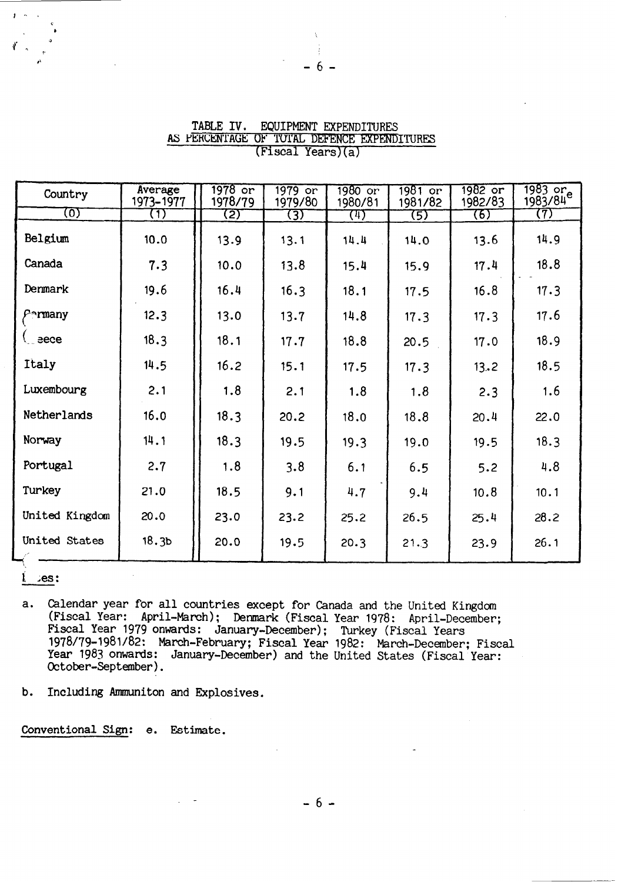| Country            | Average<br>1973-1977 | 1978 or<br>1978/79 | 1979 or<br>1979/80 | 1980 or<br>1980/81 | 1981 or<br>1981/82 | 1982 or<br>1982/83 | 1983 or<br>1983/84 |
|--------------------|----------------------|--------------------|--------------------|--------------------|--------------------|--------------------|--------------------|
| ত্যে               | $\left( 1\right)$    | (2)                | (3)                | $\left(4\right)$   | (5)                | (6)                | (7)                |
| Belgium            | 10.0                 | 13.9               | 13.1               | 14.4               | 14.0               | 13.6               | 14.9               |
| Canada             | 7.3                  | 10.0               | 13.8               | 15.4               | 15.9               | 17.4               | 18.8               |
| Denmark            | 19.6                 | 16.4               | 16.3               | 18.1               | 17.5               | 16.8               | 17.3               |
| $\rho$ •rmany      | 12.3                 | 13.0               | 13.7               | 14.8               | 17.3               | 17.3               | 17.6               |
| $\mathcal{L}$ eece | 18.3                 | 18.1               | 17.7               | 18.8               | 20.5               | 17.0               | 18.9               |
| Italy              | 14.5                 | 16.2               | 15.1               | 17.5               | 17.3               | 13.2               | 18.5               |
| Luxembourg         | 2.1                  | 1.8                | 2.1                | 1.8                | 1.8                | 2.3                | 1.6                |
| Netherlands        | 16.0                 | 18.3               | 20.2               | 18.0               | 18.8               | 20.4               | 22.0               |
| Norway             | 14.1                 | 18.3               | 19.5               | 19.3               | 19.0               | 19.5               | 18.3               |
| Portugal           | 2.7                  | 1.8                | 3.8                | 6.1                | 6.5                | 5.2                | 4.8                |
| Turkey             | 21.0                 | 18.5               | 9.1                | 4.7                | 9.4                | 10.8               | 10.1               |
| United Kingdom     | 20.0                 | 23.0               | 23.2               | 25.2               | 26.5               | 25.4               | 28.2               |
| United States      | 18.3 <sub>b</sub>    | 20.0               | 19.5               | 20.3               | 21.3               | 23.9               | 26.1               |

# TABLE IV. EQUIPMENT EXPENDITURES AS PERCENTAGE OF TOTAL DEFENCE EXPENDITURES (Fiscal Years)(a)

6

:es:

- Calendar year for all countries except for Canada and the United Kingdom  $a.$ (Fiscal Year: April-March); Denmark (Fiscal Year 1978: April-December; Fiscal Year 1979 onwards: January-December); Turkey (Fiscal Years<br>1978/79-1981/82: March-February; Fiscal Year 1982: March-December; Fiscal Year 1983 onwards: January-December) and the United States (Fiscal Year: October-September).
- Including Ammuniton and Explosives. b.

Conventional Sign: e. Estimate.

- 6 -